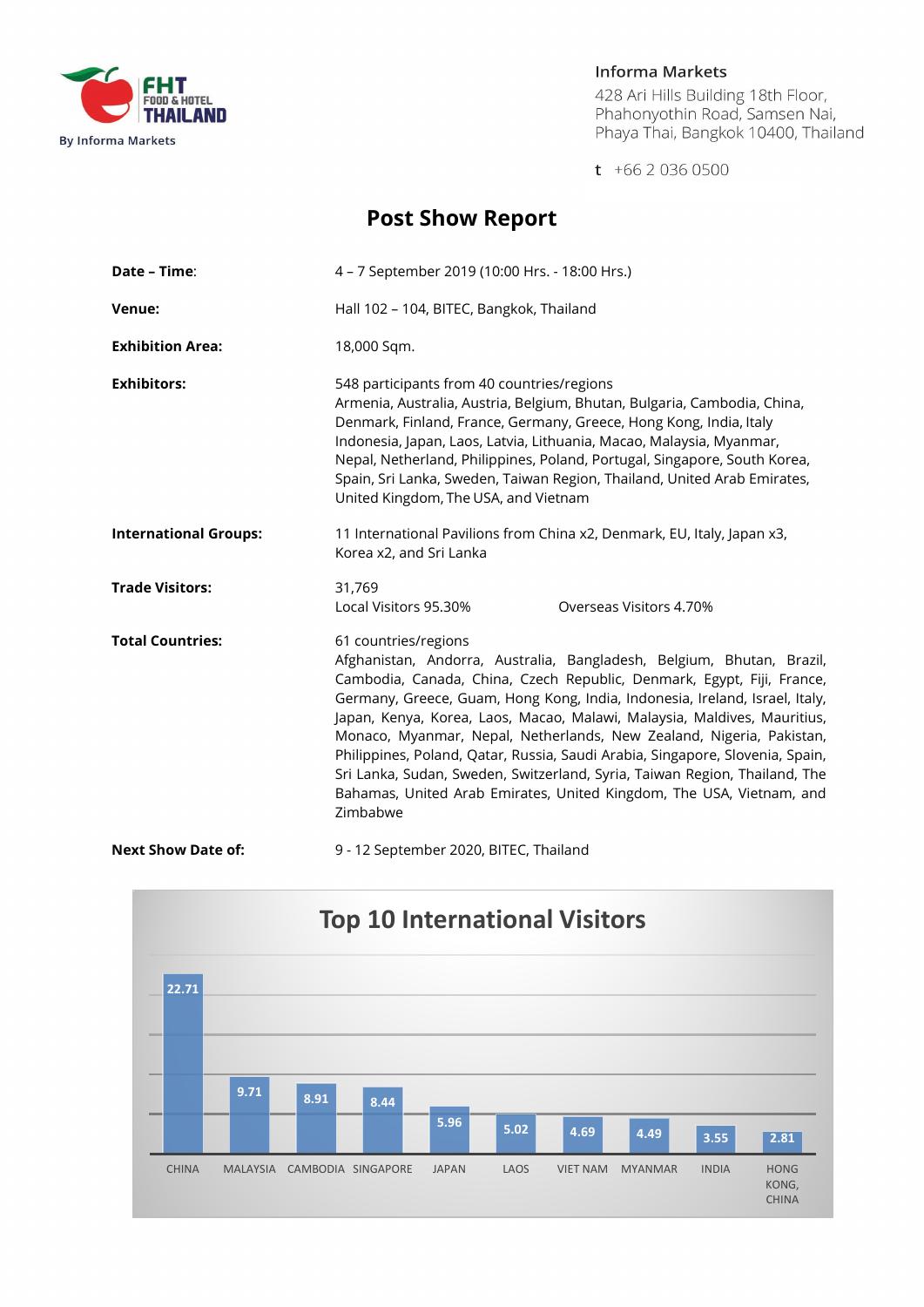

#### **Informa Markets**

428 Ari Hills Building 18th Floor,<br>Phahonyothin Road, Samsen Nai, Phaya Thai, Bangkok 10400, Thailand

 $t + 6620360500$ 

# **Post Show Report**

| Date - Time:                 | 4 - 7 September 2019 (10:00 Hrs. - 18:00 Hrs.)                                                                                                                                                                                                                                                                                                                                                                                                                                                                                                                                                                                                                |
|------------------------------|---------------------------------------------------------------------------------------------------------------------------------------------------------------------------------------------------------------------------------------------------------------------------------------------------------------------------------------------------------------------------------------------------------------------------------------------------------------------------------------------------------------------------------------------------------------------------------------------------------------------------------------------------------------|
| Venue:                       | Hall 102 - 104, BITEC, Bangkok, Thailand                                                                                                                                                                                                                                                                                                                                                                                                                                                                                                                                                                                                                      |
| <b>Exhibition Area:</b>      | 18,000 Sqm.                                                                                                                                                                                                                                                                                                                                                                                                                                                                                                                                                                                                                                                   |
| <b>Exhibitors:</b>           | 548 participants from 40 countries/regions<br>Armenia, Australia, Austria, Belgium, Bhutan, Bulgaria, Cambodia, China,<br>Denmark, Finland, France, Germany, Greece, Hong Kong, India, Italy<br>Indonesia, Japan, Laos, Latvia, Lithuania, Macao, Malaysia, Myanmar,<br>Nepal, Netherland, Philippines, Poland, Portugal, Singapore, South Korea,<br>Spain, Sri Lanka, Sweden, Taiwan Region, Thailand, United Arab Emirates,<br>United Kingdom, The USA, and Vietnam                                                                                                                                                                                         |
| <b>International Groups:</b> | 11 International Pavilions from China x2, Denmark, EU, Italy, Japan x3,<br>Korea x2, and Sri Lanka                                                                                                                                                                                                                                                                                                                                                                                                                                                                                                                                                            |
| <b>Trade Visitors:</b>       | 31,769<br>Local Visitors 95.30%<br>Overseas Visitors 4.70%                                                                                                                                                                                                                                                                                                                                                                                                                                                                                                                                                                                                    |
| <b>Total Countries:</b>      | 61 countries/regions<br>Afghanistan, Andorra, Australia, Bangladesh, Belgium, Bhutan, Brazil,<br>Cambodia, Canada, China, Czech Republic, Denmark, Egypt, Fiji, France,<br>Germany, Greece, Guam, Hong Kong, India, Indonesia, Ireland, Israel, Italy,<br>Japan, Kenya, Korea, Laos, Macao, Malawi, Malaysia, Maldives, Mauritius,<br>Monaco, Myanmar, Nepal, Netherlands, New Zealand, Nigeria, Pakistan,<br>Philippines, Poland, Qatar, Russia, Saudi Arabia, Singapore, Slovenia, Spain,<br>Sri Lanka, Sudan, Sweden, Switzerland, Syria, Taiwan Region, Thailand, The<br>Bahamas, United Arab Emirates, United Kingdom, The USA, Vietnam, and<br>Zimbabwe |
| <b>Next Show Date of:</b>    | 9 - 12 September 2020, BITEC, Thailand                                                                                                                                                                                                                                                                                                                                                                                                                                                                                                                                                                                                                        |

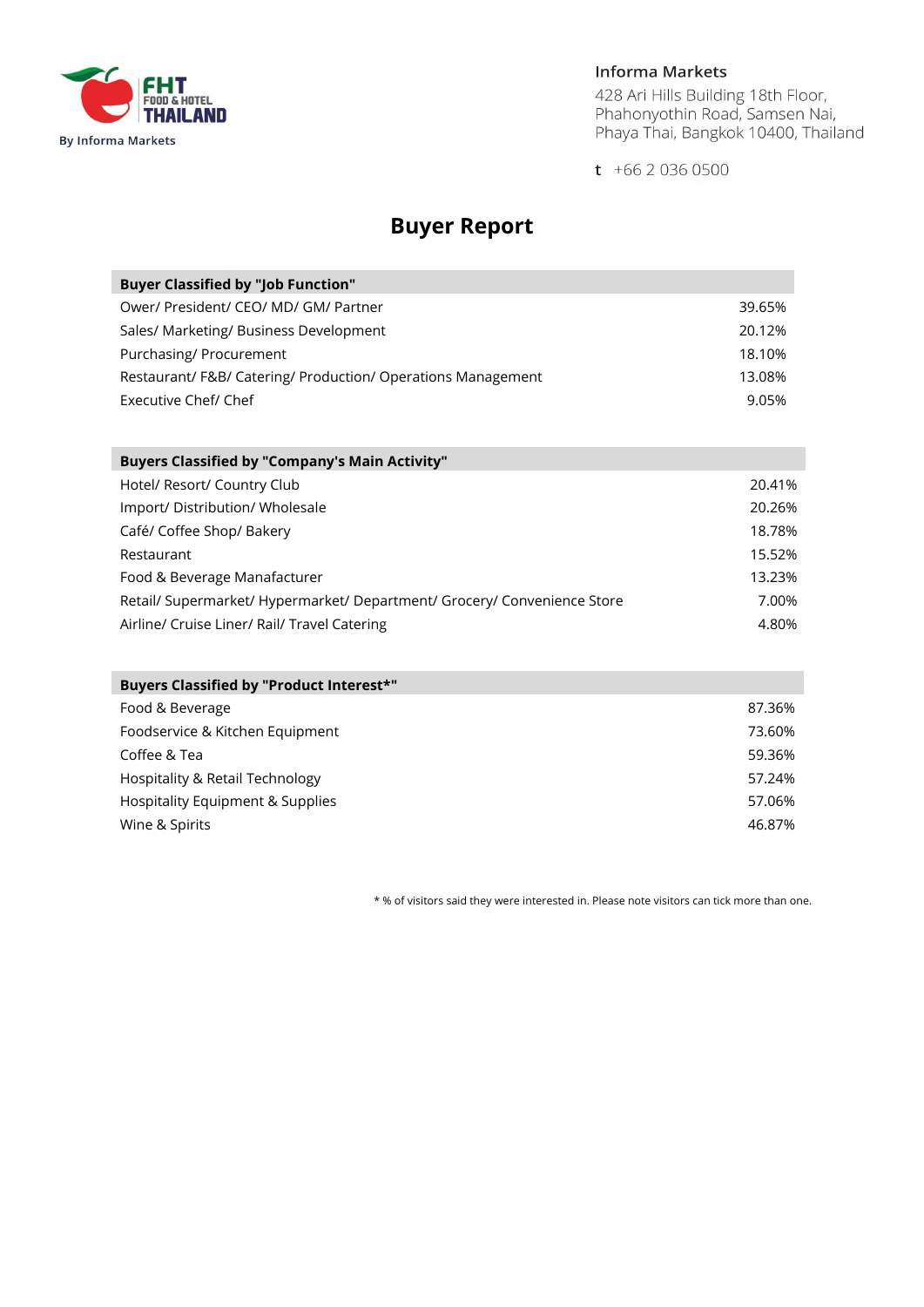

### **Informa Markets**

428 Ari Hills Building 18th Floor,<br>Phahonyothin Road, Samsen Nai,<br>Phaya Thai, Bangkok 10400, Thailand

 $t + 6620360500$ 

## **Buyer Report**

| <b>Buyer Classified by "Job Function"</b>                   |        |
|-------------------------------------------------------------|--------|
| Ower/ President/ CEO/ MD/ GM/ Partner                       | 39.65% |
| Sales/ Marketing/ Business Development                      | 20.12% |
| Purchasing/ Procurement                                     | 18.10% |
| Restaurant/F&B/ Catering/ Production/ Operations Management | 13.08% |
| Executive Chef/ Chef                                        | 9.05%  |

| <b>Buyers Classified by "Company's Main Activity"</b>                    |        |  |
|--------------------------------------------------------------------------|--------|--|
| Hotel/ Resort/ Country Club                                              | 20.41% |  |
| Import/ Distribution/ Wholesale                                          | 20.26% |  |
| Café/ Coffee Shop/ Bakery                                                | 18.78% |  |
| Restaurant                                                               | 15.52% |  |
| Food & Beverage Manafacturer                                             | 13.23% |  |
| Retail/ Supermarket/ Hypermarket/ Department/ Grocery/ Convenience Store | 7.00%  |  |
| Airline/ Cruise Liner/ Rail/ Travel Catering                             | 4.80%  |  |

| Buyers Classified by "Product Interest*" |        |
|------------------------------------------|--------|
| Food & Beverage                          | 87.36% |
| Foodservice & Kitchen Equipment          | 73.60% |
| Coffee & Tea                             | 59.36% |
| Hospitality & Retail Technology          | 57.24% |
| Hospitality Equipment & Supplies         | 57.06% |
| Wine & Spirits                           | 46.87% |

\* % of visitors said they were interested in. Please note visitors can tick more than one.